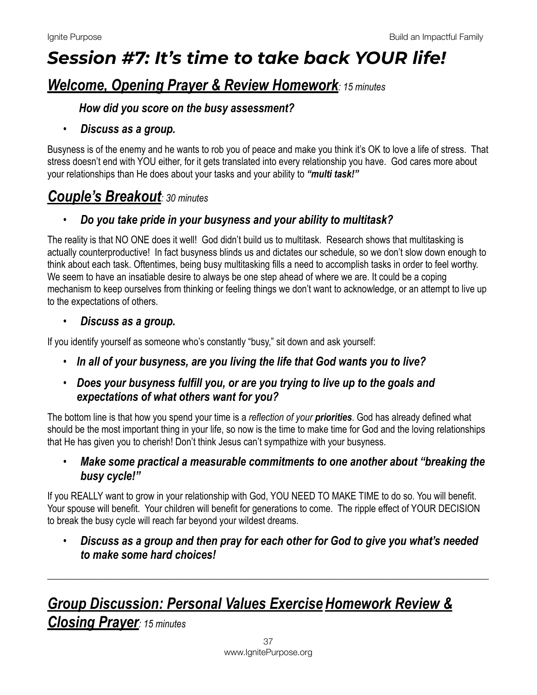# *Session #7: It's time to take back YOUR life!*

# *Welcome, Opening Prayer & Review Homework: 15 minutes*

#### *How did you score on the busy assessment?*

#### • *Discuss as a group.*

Busyness is of the enemy and he wants to rob you of peace and make you think it's OK to love a life of stress. That stress doesn't end with YOU either, for it gets translated into every relationship you have. God cares more about your relationships than He does about your tasks and your ability to *"multi task!"* 

# *Couple's Breakout: 30 minutes*

#### • *Do you take pride in your busyness and your ability to multitask?*

The reality is that NO ONE does it well! God didn't build us to multitask. Research shows that multitasking is actually counterproductive! In fact busyness blinds us and dictates our schedule, so we don't slow down enough to think about each task. Oftentimes, being busy multitasking fills a need to accomplish tasks in order to feel worthy. We seem to have an insatiable desire to always be one step ahead of where we are. It could be a coping mechanism to keep ourselves from thinking or feeling things we don't want to acknowledge, or an attempt to live up to the expectations of others.

#### • *Discuss as a group.*

If you identify yourself as someone who's constantly "busy," sit down and ask yourself:

• *In all of your busyness, are you living the life that God wants you to live?* 

#### • *Does your busyness fulfill you, or are you trying to live up to the goals and expectations of what others want for you?*

The bottom line is that how you spend your time is a *reflection of your priorities*. God has already defined what should be the most important thing in your life, so now is the time to make time for God and the loving relationships that He has given you to cherish! Don't think Jesus can't sympathize with your busyness.

• *Make some practical a measurable commitments to one another about "breaking the busy cycle!"* 

If you REALLY want to grow in your relationship with God, YOU NEED TO MAKE TIME to do so. You will benefit. Your spouse will benefit. Your children will benefit for generations to come. The ripple effect of YOUR DECISION to break the busy cycle will reach far beyond your wildest dreams.

• *Discuss as a group and then pray for each other for God to give you what's needed to make some hard choices!* 

\_\_\_\_\_\_\_\_\_\_\_\_\_\_\_\_\_\_\_\_\_\_\_\_\_\_\_\_\_\_\_\_\_\_\_\_\_\_\_\_\_\_\_\_\_\_\_\_\_\_\_\_\_\_\_\_\_\_\_\_\_\_\_\_\_\_\_\_\_\_\_\_\_\_\_\_\_\_\_\_\_\_\_\_\_\_\_\_\_\_\_\_

# *Group Discussion: Personal Values Exercise Homework Review &*

*Closing Prayer: 15 minutes*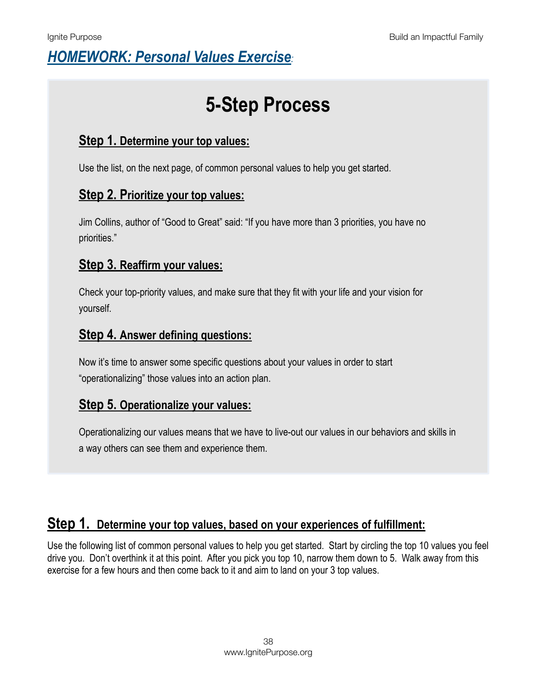# *HOMEWORK: Personal Values Exercise:*

# **5-Step Process**

### **Step 1. Determine your top values:**

Use the list, on the next page, of common personal values to help you get started.

### **Step 2. Prioritize your top values:**

Jim Collins, author of "Good to Great" said: "If you have more than 3 priorities, you have no priorities."

### **Step 3. Reaffirm your values:**

Check your top-priority values, and make sure that they fit with your life and your vision for yourself.

#### **Step 4. Answer defining questions:**

Now it's time to answer some specific questions about your values in order to start "operationalizing" those values into an action plan.

### **Step 5. Operationalize your values:**

Operationalizing our values means that we have to live-out our values in our behaviors and skills in a way others can see them and experience them.

## **Step 1. Determine your top values, based on your experiences of fulfillment:**

Use the following list of common personal values to help you get started. Start by circling the top 10 values you feel drive you. Don't overthink it at this point. After you pick you top 10, narrow them down to 5. Walk away from this exercise for a few hours and then come back to it and aim to land on your 3 top values.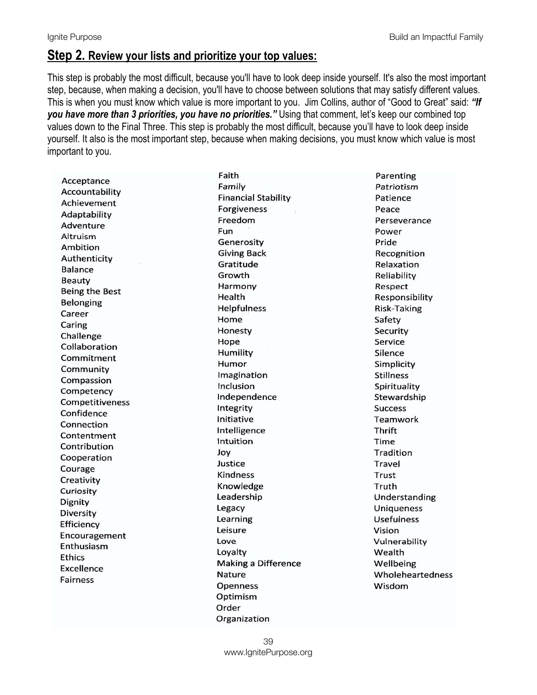#### **Step 2. Review your lists and prioritize your top values:**

This step is probably the most difficult, because you'll have to look deep inside yourself. It's also the most important step, because, when making a decision, you'll have to choose between solutions that may satisfy different values. This is when you must know which value is more important to you. Jim Collins, author of "Good to Great" said: *"If you have more than 3 priorities, you have no priorities."* Using that comment, let's keep our combined top values down to the Final Three. This step is probably the most difficult, because you'll have to look deep inside yourself. It also is the most important step, because when making decisions, you must know which value is most important to you.

Acceptance Accountability Achievement Adaptability Adventure Altruism Ambition Authenticity **Balance** Beauty Being the Best **Belonging** Career Caring Challenge Collaboration Commitment Community Compassion Competency **Competitiveness** Confidence Connection Contentment Contribution Cooperation Courage Creativity Curiosity Dignity Diversity Efficiency Encouragement Enthusiasm **Ethics** Excellence **Fairness** 

Faith Family **Financial Stability Forgiveness** Freedom Fun Generosity **Giving Back** Gratitude Growth Harmony Health Helpfulness Home Honesty Hope Humility Humor Imagination Inclusion Independence Integrity Initiative Intelligence Intuition Joy Justice **Kindness** Knowledge Leadership Legacy Learning Leisure Love Loyalty **Making a Difference** Nature **Openness** Optimism Order Organization

Parenting Patriotism Patience Peace Perseverance Power Pride Recognition Relaxation Reliability Respect Responsibility Risk-Taking Safety Security Service Silence Simplicity **Stillness** Spirituality Stewardship **Success** Teamwork **Thrift** Time Tradition Travel Trust Truth Understanding **Uniqueness Usefulness** Vision Vulnerability Wealth Wellbeing Wholeheartedness Wisdom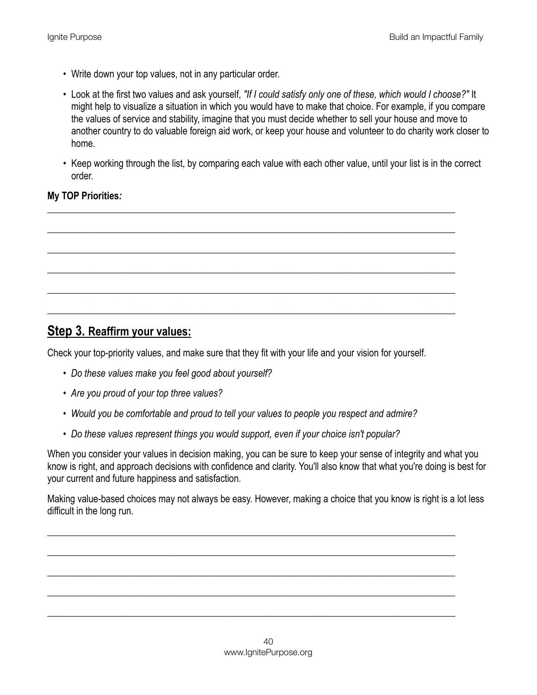- Write down your top values, not in any particular order.
- Look at the first two values and ask yourself, *"If I could satisfy only one of these, which would I choose?"* It might help to visualize a situation in which you would have to make that choice. For example, if you compare the values of service and stability, imagine that you must decide whether to sell your house and move to another country to do valuable foreign aid work, or keep your house and volunteer to do charity work closer to home.
- Keep working through the list, by comparing each value with each other value, until your list is in the correct order.

\_\_\_\_\_\_\_\_\_\_\_\_\_\_\_\_\_\_\_\_\_\_\_\_\_\_\_\_\_\_\_\_\_\_\_\_\_\_\_\_\_\_\_\_\_\_\_\_\_\_\_\_\_\_\_\_\_\_\_\_\_\_\_\_\_\_\_\_\_\_\_\_\_\_\_\_\_\_\_\_\_\_\_\_\_

\_\_\_\_\_\_\_\_\_\_\_\_\_\_\_\_\_\_\_\_\_\_\_\_\_\_\_\_\_\_\_\_\_\_\_\_\_\_\_\_\_\_\_\_\_\_\_\_\_\_\_\_\_\_\_\_\_\_\_\_\_\_\_\_\_\_\_\_\_\_\_\_\_\_\_\_\_\_\_\_\_\_\_\_\_

\_\_\_\_\_\_\_\_\_\_\_\_\_\_\_\_\_\_\_\_\_\_\_\_\_\_\_\_\_\_\_\_\_\_\_\_\_\_\_\_\_\_\_\_\_\_\_\_\_\_\_\_\_\_\_\_\_\_\_\_\_\_\_\_\_\_\_\_\_\_\_\_\_\_\_\_\_\_\_\_\_\_\_\_\_

\_\_\_\_\_\_\_\_\_\_\_\_\_\_\_\_\_\_\_\_\_\_\_\_\_\_\_\_\_\_\_\_\_\_\_\_\_\_\_\_\_\_\_\_\_\_\_\_\_\_\_\_\_\_\_\_\_\_\_\_\_\_\_\_\_\_\_\_\_\_\_\_\_\_\_\_\_\_\_\_\_\_\_\_\_

\_\_\_\_\_\_\_\_\_\_\_\_\_\_\_\_\_\_\_\_\_\_\_\_\_\_\_\_\_\_\_\_\_\_\_\_\_\_\_\_\_\_\_\_\_\_\_\_\_\_\_\_\_\_\_\_\_\_\_\_\_\_\_\_\_\_\_\_\_\_\_\_\_\_\_\_\_\_\_\_\_\_\_\_\_

\_\_\_\_\_\_\_\_\_\_\_\_\_\_\_\_\_\_\_\_\_\_\_\_\_\_\_\_\_\_\_\_\_\_\_\_\_\_\_\_\_\_\_\_\_\_\_\_\_\_\_\_\_\_\_\_\_\_\_\_\_\_\_\_\_\_\_\_\_\_\_\_\_\_\_\_\_\_\_\_\_\_\_\_\_

#### **My TOP Priorities***:*

### **Step 3. Reaffirm your values:**

Check your top-priority values, and make sure that they fit with your life and your vision for yourself.

- *Do these values make you feel good about yourself?*
- *Are you proud of your top three values?*
- *Would you be comfortable and proud to tell your values to people you respect and admire?*
- *Do these values represent things you would support, even if your choice isn't popular?*

When you consider your values in decision making, you can be sure to keep your sense of integrity and what you know is right, and approach decisions with confidence and clarity. You'll also know that what you're doing is best for your current and future happiness and satisfaction.

Making value-based choices may not always be easy. However, making a choice that you know is right is a lot less difficult in the long run.

\_\_\_\_\_\_\_\_\_\_\_\_\_\_\_\_\_\_\_\_\_\_\_\_\_\_\_\_\_\_\_\_\_\_\_\_\_\_\_\_\_\_\_\_\_\_\_\_\_\_\_\_\_\_\_\_\_\_\_\_\_\_\_\_\_\_\_\_\_\_\_\_\_\_\_\_\_\_\_\_\_\_\_\_\_

\_\_\_\_\_\_\_\_\_\_\_\_\_\_\_\_\_\_\_\_\_\_\_\_\_\_\_\_\_\_\_\_\_\_\_\_\_\_\_\_\_\_\_\_\_\_\_\_\_\_\_\_\_\_\_\_\_\_\_\_\_\_\_\_\_\_\_\_\_\_\_\_\_\_\_\_\_\_\_\_\_\_\_\_\_

\_\_\_\_\_\_\_\_\_\_\_\_\_\_\_\_\_\_\_\_\_\_\_\_\_\_\_\_\_\_\_\_\_\_\_\_\_\_\_\_\_\_\_\_\_\_\_\_\_\_\_\_\_\_\_\_\_\_\_\_\_\_\_\_\_\_\_\_\_\_\_\_\_\_\_\_\_\_\_\_\_\_\_\_\_

\_\_\_\_\_\_\_\_\_\_\_\_\_\_\_\_\_\_\_\_\_\_\_\_\_\_\_\_\_\_\_\_\_\_\_\_\_\_\_\_\_\_\_\_\_\_\_\_\_\_\_\_\_\_\_\_\_\_\_\_\_\_\_\_\_\_\_\_\_\_\_\_\_\_\_\_\_\_\_\_\_\_\_\_\_

\_\_\_\_\_\_\_\_\_\_\_\_\_\_\_\_\_\_\_\_\_\_\_\_\_\_\_\_\_\_\_\_\_\_\_\_\_\_\_\_\_\_\_\_\_\_\_\_\_\_\_\_\_\_\_\_\_\_\_\_\_\_\_\_\_\_\_\_\_\_\_\_\_\_\_\_\_\_\_\_\_\_\_\_\_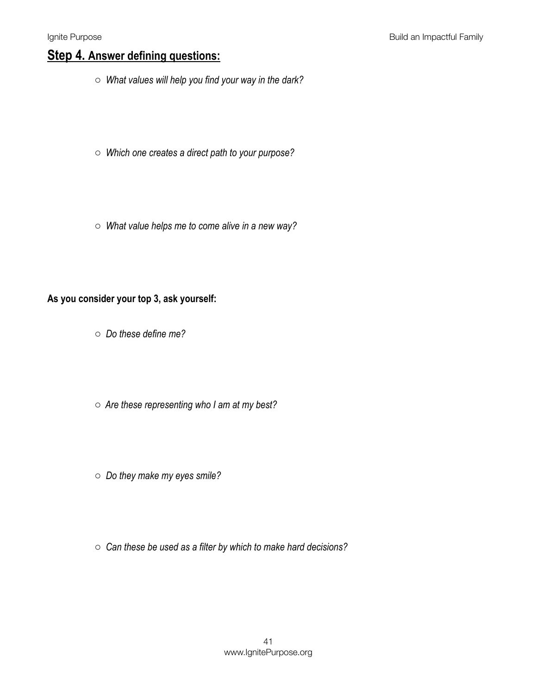## **Step 4. Answer defining questions:**

- o *What values will help you find your way in the dark?*
- o *Which one creates a direct path to your purpose?*
- o *What value helps me to come alive in a new way?*

#### **As you consider your top 3, ask yourself:**

- o *Do these define me?*
- o *Are these representing who I am at my best?*
- o *Do they make my eyes smile?*
- o *Can these be used as a filter by which to make hard decisions?*